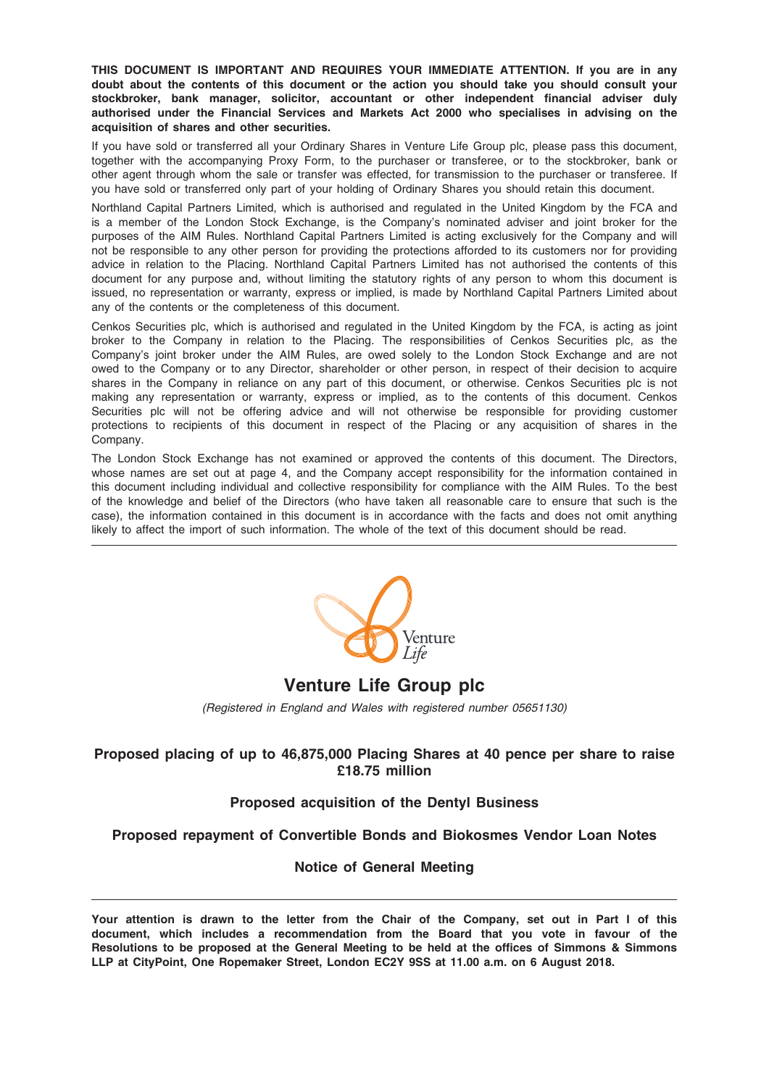THIS DOCUMENT IS IMPORTANT AND REQUIRES YOUR IMMEDIATE ATTENTION. If you are in any doubt about the contents of this document or the action you should take you should consult your stockbroker, bank manager, solicitor, accountant or other independent financial adviser duly authorised under the Financial Services and Markets Act 2000 who specialises in advising on the acquisition of shares and other securities.

If you have sold or transferred all your Ordinary Shares in Venture Life Group plc, please pass this document, together with the accompanying Proxy Form, to the purchaser or transferee, or to the stockbroker, bank or other agent through whom the sale or transfer was effected, for transmission to the purchaser or transferee. If you have sold or transferred only part of your holding of Ordinary Shares you should retain this document.

Northland Capital Partners Limited, which is authorised and regulated in the United Kingdom by the FCA and is a member of the London Stock Exchange, is the Company's nominated adviser and joint broker for the purposes of the AIM Rules. Northland Capital Partners Limited is acting exclusively for the Company and will not be responsible to any other person for providing the protections afforded to its customers nor for providing advice in relation to the Placing. Northland Capital Partners Limited has not authorised the contents of this document for any purpose and, without limiting the statutory rights of any person to whom this document is issued, no representation or warranty, express or implied, is made by Northland Capital Partners Limited about any of the contents or the completeness of this document.

Cenkos Securities plc, which is authorised and regulated in the United Kingdom by the FCA, is acting as joint broker to the Company in relation to the Placing. The responsibilities of Cenkos Securities plc, as the Company's joint broker under the AIM Rules, are owed solely to the London Stock Exchange and are not owed to the Company or to any Director, shareholder or other person, in respect of their decision to acquire shares in the Company in reliance on any part of this document, or otherwise. Cenkos Securities plc is not making any representation or warranty, express or implied, as to the contents of this document. Cenkos Securities plc will not be offering advice and will not otherwise be responsible for providing customer protections to recipients of this document in respect of the Placing or any acquisition of shares in the Company.

The London Stock Exchange has not examined or approved the contents of this document. The Directors, whose names are set out at page 4, and the Company accept responsibility for the information contained in this document including individual and collective responsibility for compliance with the AIM Rules. To the best of the knowledge and belief of the Directors (who have taken all reasonable care to ensure that such is the case), the information contained in this document is in accordance with the facts and does not omit anything likely to affect the import of such information. The whole of the text of this document should be read.



## Venture Life Group plc

(Registered in England and Wales with registered number 05651130)

### Proposed placing of up to 46,875,000 Placing Shares at 40 pence per share to raise £18.75 million

### Proposed acquisition of the Dentyl Business

### Proposed repayment of Convertible Bonds and Biokosmes Vendor Loan Notes

### Notice of General Meeting

Your attention is drawn to the letter from the Chair of the Company, set out in Part I of this document, which includes a recommendation from the Board that you vote in favour of the Resolutions to be proposed at the General Meeting to be held at the offices of Simmons & Simmons LLP at CityPoint, One Ropemaker Street, London EC2Y 9SS at 11.00 a.m. on 6 August 2018.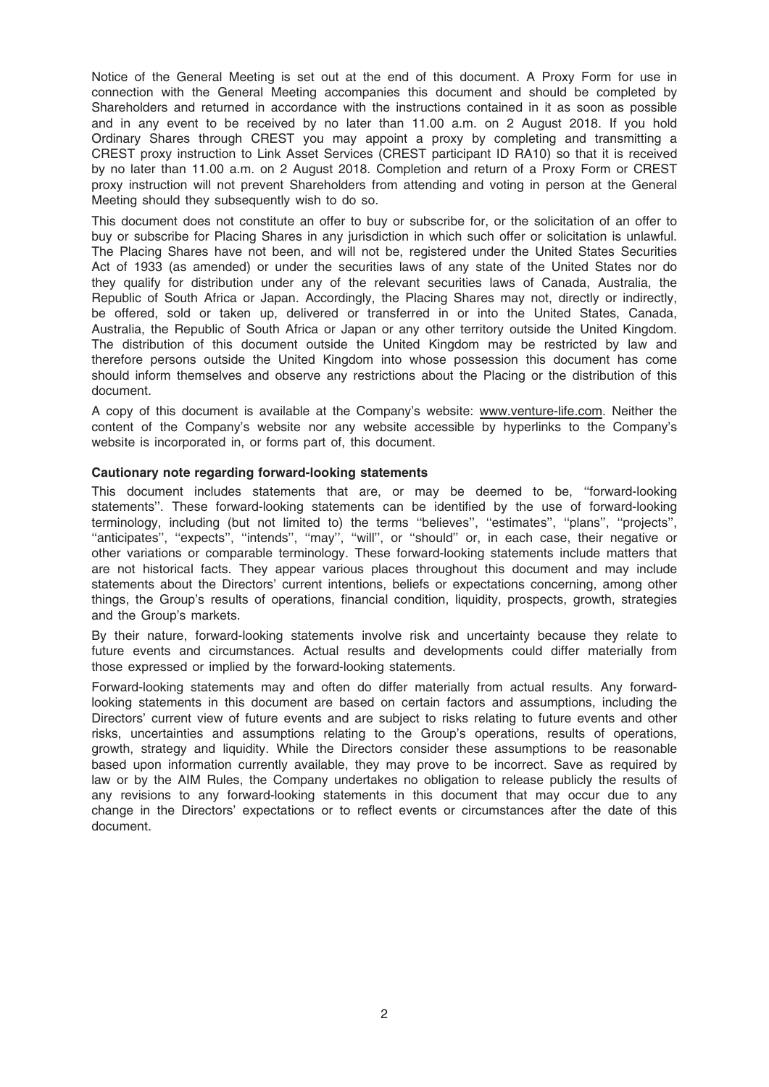Notice of the General Meeting is set out at the end of this document. A Proxy Form for use in connection with the General Meeting accompanies this document and should be completed by Shareholders and returned in accordance with the instructions contained in it as soon as possible and in any event to be received by no later than 11.00 a.m. on 2 August 2018. If you hold Ordinary Shares through CREST you may appoint a proxy by completing and transmitting a CREST proxy instruction to Link Asset Services (CREST participant ID RA10) so that it is received by no later than 11.00 a.m. on 2 August 2018. Completion and return of a Proxy Form or CREST proxy instruction will not prevent Shareholders from attending and voting in person at the General Meeting should they subsequently wish to do so.

This document does not constitute an offer to buy or subscribe for, or the solicitation of an offer to buy or subscribe for Placing Shares in any jurisdiction in which such offer or solicitation is unlawful. The Placing Shares have not been, and will not be, registered under the United States Securities Act of 1933 (as amended) or under the securities laws of any state of the United States nor do they qualify for distribution under any of the relevant securities laws of Canada, Australia, the Republic of South Africa or Japan. Accordingly, the Placing Shares may not, directly or indirectly, be offered, sold or taken up, delivered or transferred in or into the United States, Canada, Australia, the Republic of South Africa or Japan or any other territory outside the United Kingdom. The distribution of this document outside the United Kingdom may be restricted by law and therefore persons outside the United Kingdom into whose possession this document has come should inform themselves and observe any restrictions about the Placing or the distribution of this document.

A copy of this document is available at the Company's website: www.venture-life.com. Neither the content of the Company's website nor any website accessible by hyperlinks to the Company's website is incorporated in, or forms part of, this document.

#### Cautionary note regarding forward-looking statements

This document includes statements that are, or may be deemed to be, ''forward-looking statements''. These forward-looking statements can be identified by the use of forward-looking terminology, including (but not limited to) the terms ''believes'', ''estimates'', ''plans'', ''projects'', "anticipates", "expects", "intends", "may", "will", or "should" or, in each case, their negative or other variations or comparable terminology. These forward-looking statements include matters that are not historical facts. They appear various places throughout this document and may include statements about the Directors' current intentions, beliefs or expectations concerning, among other things, the Group's results of operations, financial condition, liquidity, prospects, growth, strategies and the Group's markets.

By their nature, forward-looking statements involve risk and uncertainty because they relate to future events and circumstances. Actual results and developments could differ materially from those expressed or implied by the forward-looking statements.

Forward-looking statements may and often do differ materially from actual results. Any forwardlooking statements in this document are based on certain factors and assumptions, including the Directors' current view of future events and are subject to risks relating to future events and other risks, uncertainties and assumptions relating to the Group's operations, results of operations, growth, strategy and liquidity. While the Directors consider these assumptions to be reasonable based upon information currently available, they may prove to be incorrect. Save as required by law or by the AIM Rules, the Company undertakes no obligation to release publicly the results of any revisions to any forward-looking statements in this document that may occur due to any change in the Directors' expectations or to reflect events or circumstances after the date of this document.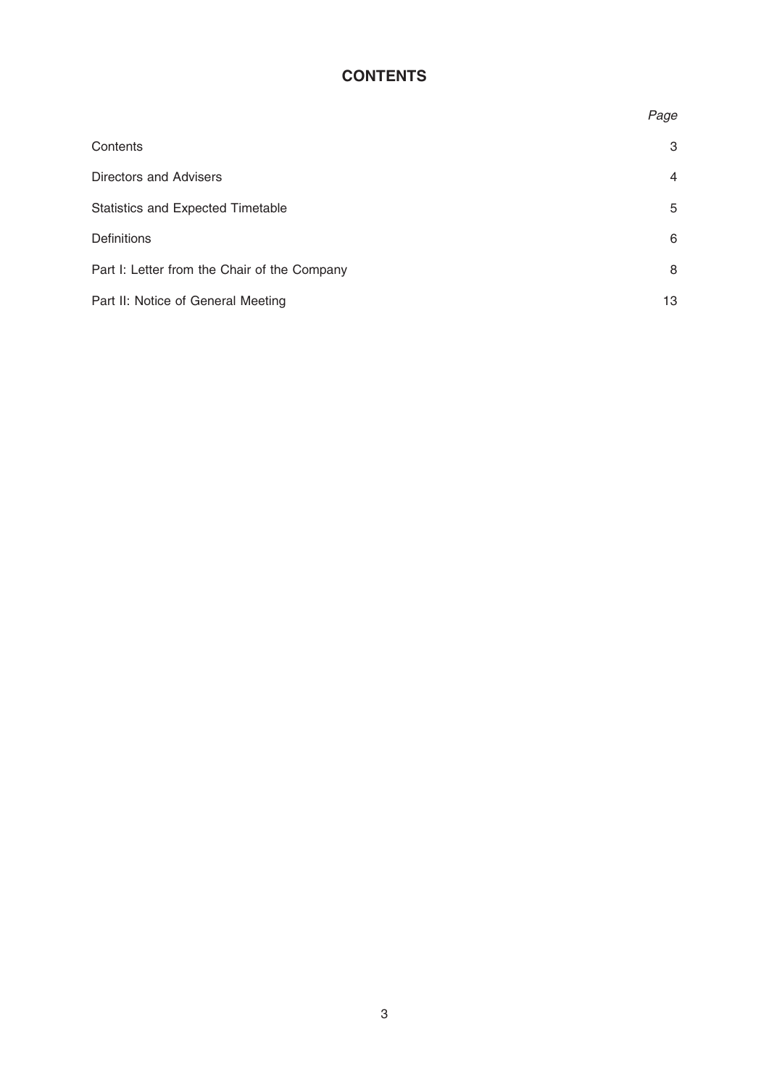## **CONTENTS**

|                                              | Page |
|----------------------------------------------|------|
| Contents                                     | 3    |
| Directors and Advisers                       | 4    |
| <b>Statistics and Expected Timetable</b>     | 5    |
| <b>Definitions</b>                           | 6    |
| Part I: Letter from the Chair of the Company | 8    |
| Part II: Notice of General Meeting           | 13   |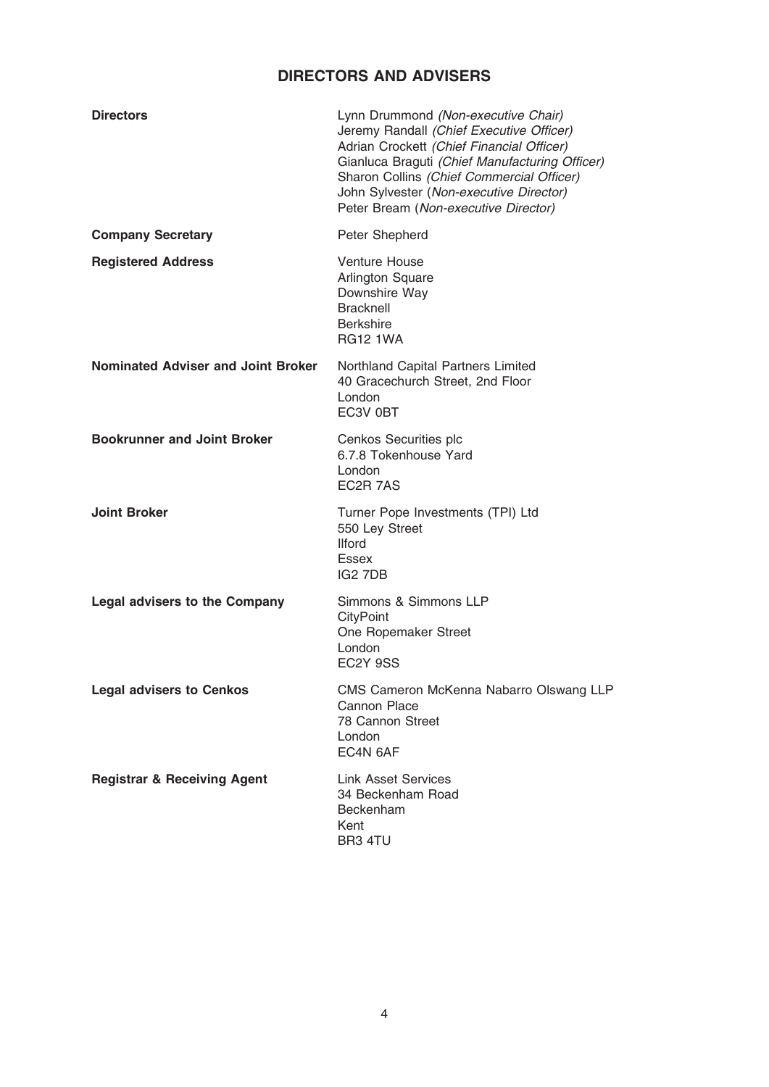## DIRECTORS AND ADVISERS

| <b>Directors</b>                          | Lynn Drummond (Non-executive Chair)<br>Jeremy Randall (Chief Executive Officer)<br>Adrian Crockett (Chief Financial Officer)<br>Gianluca Braguti (Chief Manufacturing Officer)<br>Sharon Collins (Chief Commercial Officer)<br>John Sylvester (Non-executive Director)<br>Peter Bream (Non-executive Director) |
|-------------------------------------------|----------------------------------------------------------------------------------------------------------------------------------------------------------------------------------------------------------------------------------------------------------------------------------------------------------------|
| <b>Company Secretary</b>                  | Peter Shepherd                                                                                                                                                                                                                                                                                                 |
| <b>Registered Address</b>                 | <b>Venture House</b><br><b>Arlington Square</b><br>Downshire Way<br><b>Bracknell</b><br><b>Berkshire</b><br><b>RG12 1WA</b>                                                                                                                                                                                    |
| <b>Nominated Adviser and Joint Broker</b> | Northland Capital Partners Limited<br>40 Gracechurch Street, 2nd Floor<br>London<br>EC3V 0BT                                                                                                                                                                                                                   |
| <b>Bookrunner and Joint Broker</b>        | Cenkos Securities plc<br>6.7.8 Tokenhouse Yard<br>London<br>EC2R 7AS                                                                                                                                                                                                                                           |
| <b>Joint Broker</b>                       | Turner Pope Investments (TPI) Ltd<br>550 Ley Street<br><b>Ilford</b><br>Essex<br>IG <sub>2</sub> 7DB                                                                                                                                                                                                           |
| <b>Legal advisers to the Company</b>      | Simmons & Simmons LLP<br>CityPoint<br>One Ropemaker Street<br>London<br>EC <sub>2</sub> Y 9SS                                                                                                                                                                                                                  |
| <b>Legal advisers to Cenkos</b>           | CMS Cameron McKenna Nabarro Olswang LLP<br>Cannon Place<br>78 Cannon Street<br>London<br>EC4N 6AF                                                                                                                                                                                                              |
| <b>Registrar &amp; Receiving Agent</b>    | <b>Link Asset Services</b><br>34 Beckenham Road<br>Beckenham<br>Kent<br>BR3 4TU                                                                                                                                                                                                                                |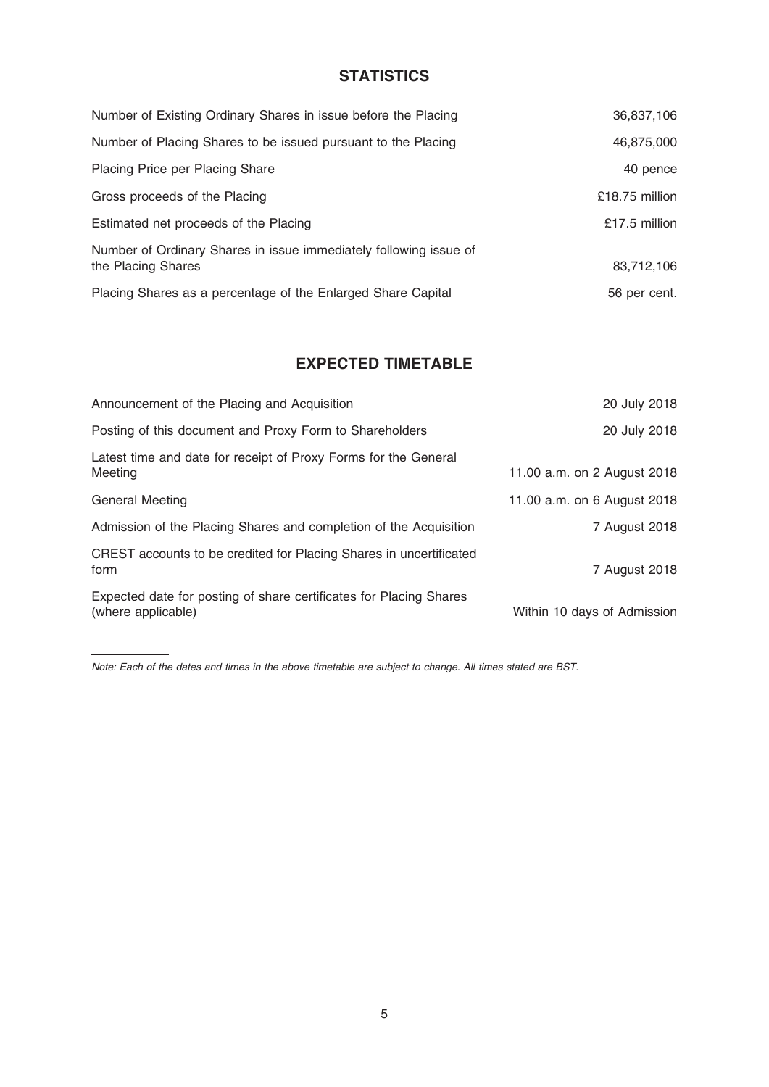## **STATISTICS**

| Number of Existing Ordinary Shares in issue before the Placing                          | 36,837,106       |
|-----------------------------------------------------------------------------------------|------------------|
| Number of Placing Shares to be issued pursuant to the Placing                           | 46,875,000       |
| Placing Price per Placing Share                                                         | 40 pence         |
| Gross proceeds of the Placing                                                           | $£18.75$ million |
| Estimated net proceeds of the Placing                                                   | £17.5 million    |
| Number of Ordinary Shares in issue immediately following issue of<br>the Placing Shares | 83,712,106       |
| Placing Shares as a percentage of the Enlarged Share Capital                            | 56 per cent.     |

## EXPECTED TIMETABLE

| Announcement of the Placing and Acquisition                                              | 20 July 2018                |
|------------------------------------------------------------------------------------------|-----------------------------|
| Posting of this document and Proxy Form to Shareholders                                  | 20 July 2018                |
| Latest time and date for receipt of Proxy Forms for the General<br>Meeting               | 11.00 a.m. on 2 August 2018 |
| <b>General Meeting</b>                                                                   | 11.00 a.m. on 6 August 2018 |
| Admission of the Placing Shares and completion of the Acquisition                        | 7 August 2018               |
| CREST accounts to be credited for Placing Shares in uncertificated<br>form               | 7 August 2018               |
| Expected date for posting of share certificates for Placing Shares<br>(where applicable) | Within 10 days of Admission |

Note: Each of the dates and times in the above timetable are subject to change. All times stated are BST.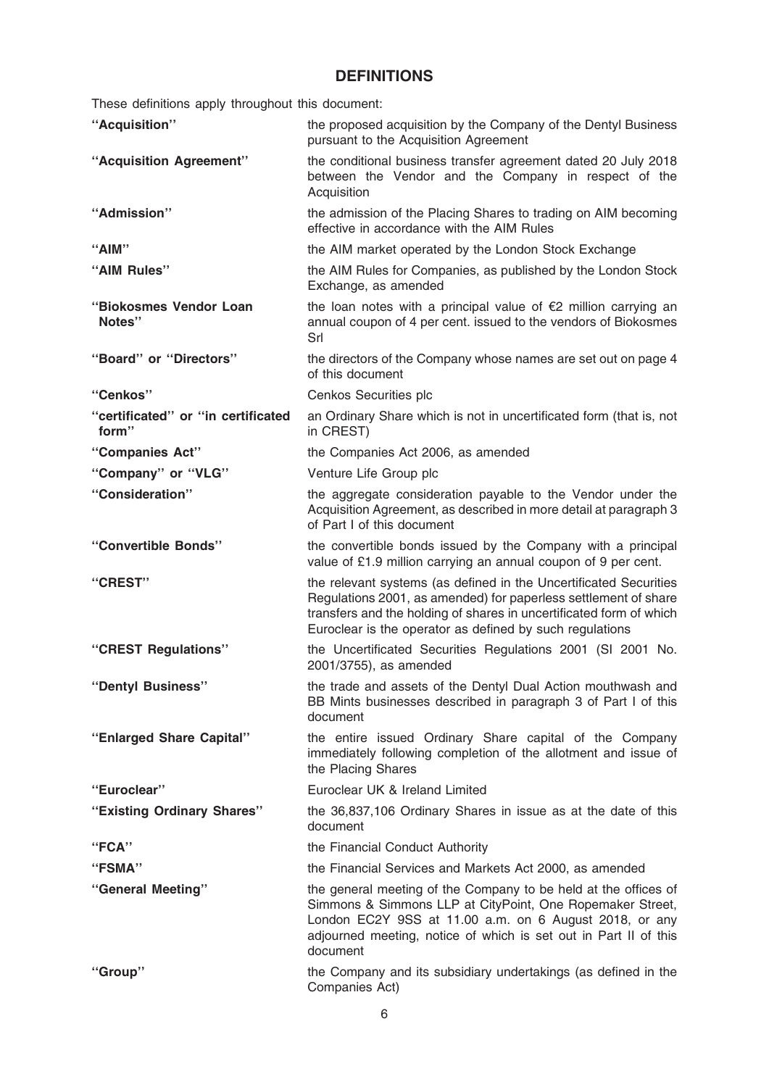## DEFINITIONS

These definitions apply throughout this document:

| "Acquisition"                               | the proposed acquisition by the Company of the Dentyl Business<br>pursuant to the Acquisition Agreement                                                                                                                                                                 |  |
|---------------------------------------------|-------------------------------------------------------------------------------------------------------------------------------------------------------------------------------------------------------------------------------------------------------------------------|--|
| "Acquisition Agreement"                     | the conditional business transfer agreement dated 20 July 2018<br>between the Vendor and the Company in respect of the<br>Acquisition                                                                                                                                   |  |
| "Admission"                                 | the admission of the Placing Shares to trading on AIM becoming<br>effective in accordance with the AIM Rules                                                                                                                                                            |  |
| "AIM"                                       | the AIM market operated by the London Stock Exchange                                                                                                                                                                                                                    |  |
| "AIM Rules"                                 | the AIM Rules for Companies, as published by the London Stock<br>Exchange, as amended                                                                                                                                                                                   |  |
| "Biokosmes Vendor Loan<br>Notes"            | the loan notes with a principal value of $E$ 2 million carrying an<br>annual coupon of 4 per cent. issued to the vendors of Biokosmes<br>Srl                                                                                                                            |  |
| "Board" or "Directors"                      | the directors of the Company whose names are set out on page 4<br>of this document                                                                                                                                                                                      |  |
| "Cenkos"                                    | Cenkos Securities plc                                                                                                                                                                                                                                                   |  |
| "certificated" or "in certificated<br>form" | an Ordinary Share which is not in uncertificated form (that is, not<br>in CREST)                                                                                                                                                                                        |  |
| "Companies Act"                             | the Companies Act 2006, as amended                                                                                                                                                                                                                                      |  |
| "Company" or "VLG"                          | Venture Life Group plc                                                                                                                                                                                                                                                  |  |
| "Consideration"                             | the aggregate consideration payable to the Vendor under the<br>Acquisition Agreement, as described in more detail at paragraph 3<br>of Part I of this document                                                                                                          |  |
| "Convertible Bonds"                         | the convertible bonds issued by the Company with a principal<br>value of £1.9 million carrying an annual coupon of 9 per cent.                                                                                                                                          |  |
| "CREST"                                     | the relevant systems (as defined in the Uncertificated Securities<br>Regulations 2001, as amended) for paperless settlement of share<br>transfers and the holding of shares in uncertificated form of which<br>Euroclear is the operator as defined by such regulations |  |
| "CREST Regulations"                         | the Uncertificated Securities Regulations 2001 (SI 2001 No.<br>2001/3755), as amended                                                                                                                                                                                   |  |
| "Dentyl Business"                           | the trade and assets of the Dentyl Dual Action mouthwash and<br>BB Mints businesses described in paragraph 3 of Part I of this<br>document                                                                                                                              |  |
| "Enlarged Share Capital"                    | the entire issued Ordinary Share capital of the Company<br>immediately following completion of the allotment and issue of<br>the Placing Shares                                                                                                                         |  |
| "Euroclear"                                 | Euroclear UK & Ireland Limited                                                                                                                                                                                                                                          |  |
| "Existing Ordinary Shares"                  | the 36,837,106 Ordinary Shares in issue as at the date of this<br>document                                                                                                                                                                                              |  |
| "FCA"                                       | the Financial Conduct Authority                                                                                                                                                                                                                                         |  |
| "FSMA"                                      | the Financial Services and Markets Act 2000, as amended                                                                                                                                                                                                                 |  |
| "General Meeting"                           | the general meeting of the Company to be held at the offices of<br>Simmons & Simmons LLP at CityPoint, One Ropemaker Street,<br>London EC2Y 9SS at 11.00 a.m. on 6 August 2018, or any<br>adjourned meeting, notice of which is set out in Part II of this<br>document  |  |
| "Group"                                     | the Company and its subsidiary undertakings (as defined in the<br>Companies Act)                                                                                                                                                                                        |  |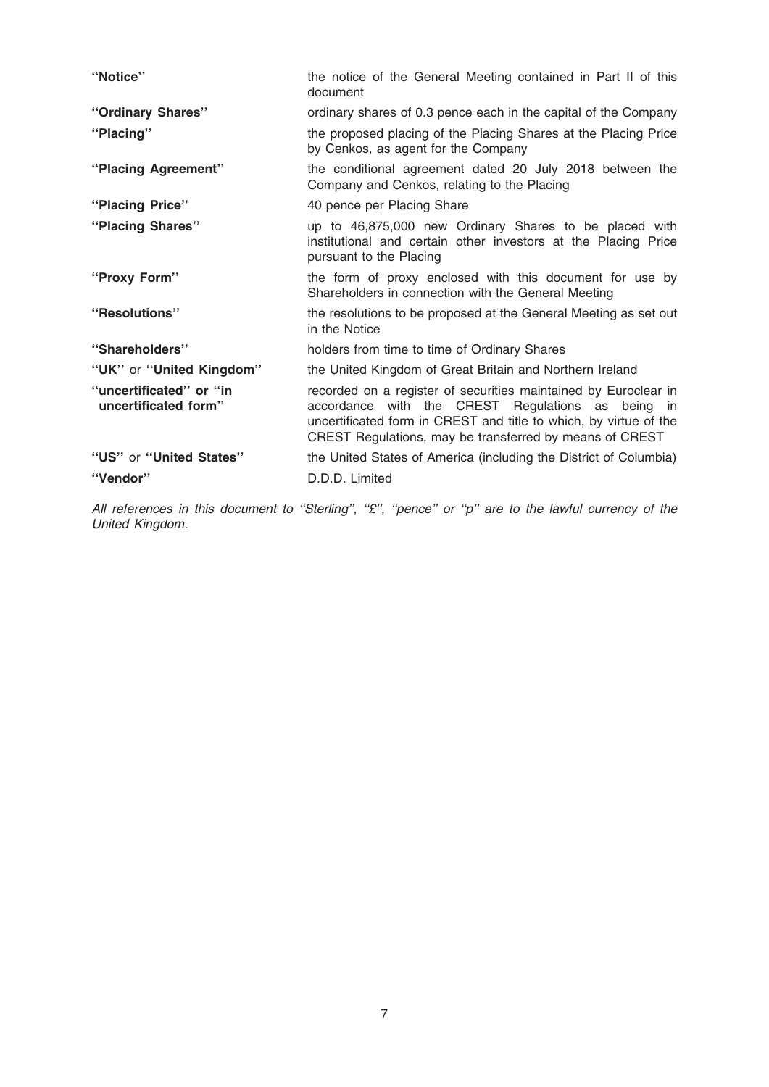| "Notice"                                        | the notice of the General Meeting contained in Part II of this<br>document                                                                                                                                                                           |
|-------------------------------------------------|------------------------------------------------------------------------------------------------------------------------------------------------------------------------------------------------------------------------------------------------------|
| "Ordinary Shares"                               | ordinary shares of 0.3 pence each in the capital of the Company                                                                                                                                                                                      |
| "Placing"                                       | the proposed placing of the Placing Shares at the Placing Price<br>by Cenkos, as agent for the Company                                                                                                                                               |
| "Placing Agreement"                             | the conditional agreement dated 20 July 2018 between the<br>Company and Cenkos, relating to the Placing                                                                                                                                              |
| "Placing Price"                                 | 40 pence per Placing Share                                                                                                                                                                                                                           |
| "Placing Shares"                                | up to 46,875,000 new Ordinary Shares to be placed with<br>institutional and certain other investors at the Placing Price<br>pursuant to the Placing                                                                                                  |
| "Proxy Form"                                    | the form of proxy enclosed with this document for use by<br>Shareholders in connection with the General Meeting                                                                                                                                      |
| "Resolutions"                                   | the resolutions to be proposed at the General Meeting as set out<br>in the Notice                                                                                                                                                                    |
| "Shareholders"                                  | holders from time to time of Ordinary Shares                                                                                                                                                                                                         |
| "UK" or "United Kingdom"                        | the United Kingdom of Great Britain and Northern Ireland                                                                                                                                                                                             |
| "uncertificated" or "in<br>uncertificated form" | recorded on a register of securities maintained by Euroclear in<br>accordance with the CREST Regulations as being in<br>uncertificated form in CREST and title to which, by virtue of the<br>CREST Regulations, may be transferred by means of CREST |
| "US" or "United States"                         | the United States of America (including the District of Columbia)                                                                                                                                                                                    |
| "Vendor"                                        | D.D.D. Limited                                                                                                                                                                                                                                       |

All references in this document to "Sterling", "£", "pence" or "p" are to the lawful currency of the United Kingdom.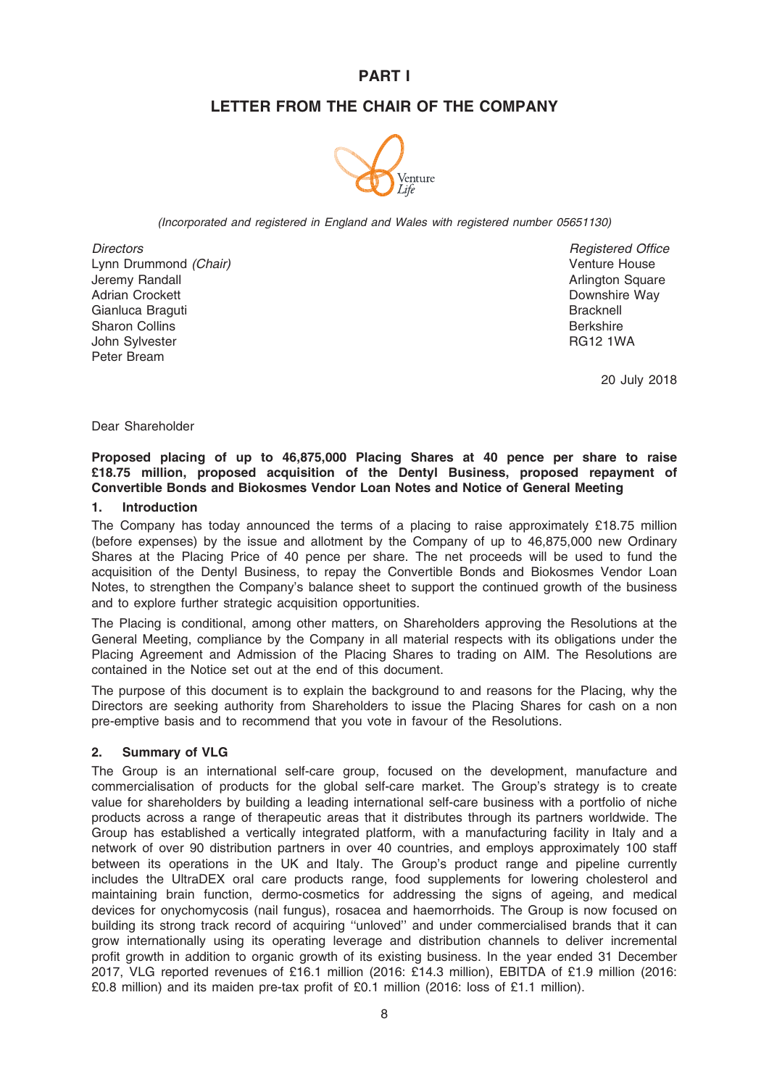### PART I

### LETTER FROM THE CHAIR OF THE COMPANY



(Incorporated and registered in England and Wales with registered number 05651130)

**Directors** Lynn Drummond (Chair) Jeremy Randall Adrian Crockett Gianluca Braguti Sharon Collins John Sylvester Peter Bream

Registered Office Venture House Arlington Square Downshire Way **Bracknell** Berkshire RG12 1WA

20 July 2018

Dear Shareholder

#### Proposed placing of up to 46,875,000 Placing Shares at 40 pence per share to raise £18.75 million, proposed acquisition of the Dentyl Business, proposed repayment of Convertible Bonds and Biokosmes Vendor Loan Notes and Notice of General Meeting

#### 1. Introduction

The Company has today announced the terms of a placing to raise approximately £18.75 million (before expenses) by the issue and allotment by the Company of up to 46,875,000 new Ordinary Shares at the Placing Price of 40 pence per share. The net proceeds will be used to fund the acquisition of the Dentyl Business, to repay the Convertible Bonds and Biokosmes Vendor Loan Notes, to strengthen the Company's balance sheet to support the continued growth of the business and to explore further strategic acquisition opportunities.

The Placing is conditional, among other matters, on Shareholders approving the Resolutions at the General Meeting, compliance by the Company in all material respects with its obligations under the Placing Agreement and Admission of the Placing Shares to trading on AIM. The Resolutions are contained in the Notice set out at the end of this document.

The purpose of this document is to explain the background to and reasons for the Placing, why the Directors are seeking authority from Shareholders to issue the Placing Shares for cash on a non pre-emptive basis and to recommend that you vote in favour of the Resolutions.

#### 2. Summary of VLG

The Group is an international self-care group, focused on the development, manufacture and commercialisation of products for the global self-care market. The Group's strategy is to create value for shareholders by building a leading international self-care business with a portfolio of niche products across a range of therapeutic areas that it distributes through its partners worldwide. The Group has established a vertically integrated platform, with a manufacturing facility in Italy and a network of over 90 distribution partners in over 40 countries, and employs approximately 100 staff between its operations in the UK and Italy. The Group's product range and pipeline currently includes the UltraDEX oral care products range, food supplements for lowering cholesterol and maintaining brain function, dermo-cosmetics for addressing the signs of ageing, and medical devices for onychomycosis (nail fungus), rosacea and haemorrhoids. The Group is now focused on building its strong track record of acquiring ''unloved'' and under commercialised brands that it can grow internationally using its operating leverage and distribution channels to deliver incremental profit growth in addition to organic growth of its existing business. In the year ended 31 December 2017, VLG reported revenues of £16.1 million (2016: £14.3 million), EBITDA of £1.9 million (2016: £0.8 million) and its maiden pre-tax profit of £0.1 million (2016: loss of £1.1 million).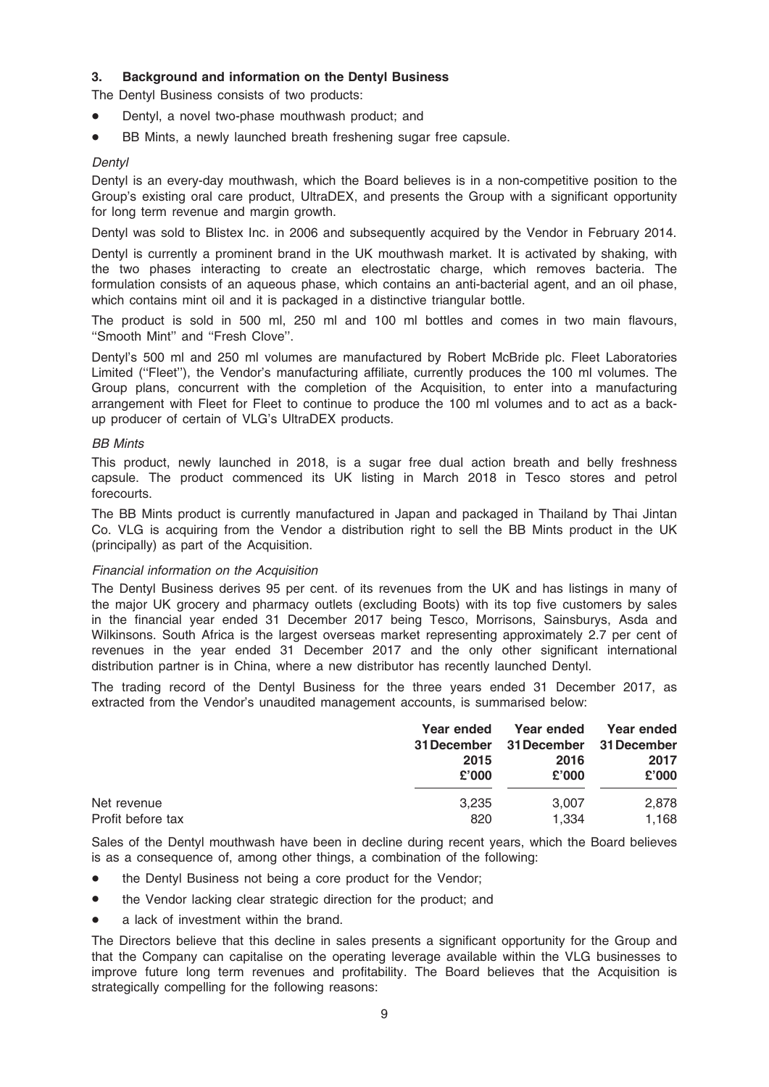### 3. Background and information on the Dentyl Business

The Dentyl Business consists of two products:

- Dentyl, a novel two-phase mouthwash product; and
- BB Mints, a newly launched breath freshening sugar free capsule.

#### **Dentyl**

Dentyl is an every-day mouthwash, which the Board believes is in a non-competitive position to the Group's existing oral care product, UltraDEX, and presents the Group with a significant opportunity for long term revenue and margin growth.

Dentyl was sold to Blistex Inc. in 2006 and subsequently acquired by the Vendor in February 2014.

Dentyl is currently a prominent brand in the UK mouthwash market. It is activated by shaking, with the two phases interacting to create an electrostatic charge, which removes bacteria. The formulation consists of an aqueous phase, which contains an anti-bacterial agent, and an oil phase, which contains mint oil and it is packaged in a distinctive triangular bottle.

The product is sold in 500 ml, 250 ml and 100 ml bottles and comes in two main flavours, ''Smooth Mint'' and ''Fresh Clove''.

Dentyl's 500 ml and 250 ml volumes are manufactured by Robert McBride plc. Fleet Laboratories Limited (''Fleet''), the Vendor's manufacturing affiliate, currently produces the 100 ml volumes. The Group plans, concurrent with the completion of the Acquisition, to enter into a manufacturing arrangement with Fleet for Fleet to continue to produce the 100 ml volumes and to act as a backup producer of certain of VLG's UltraDEX products.

#### BB Mints

This product, newly launched in 2018, is a sugar free dual action breath and belly freshness capsule. The product commenced its UK listing in March 2018 in Tesco stores and petrol forecourts.

The BB Mints product is currently manufactured in Japan and packaged in Thailand by Thai Jintan Co. VLG is acquiring from the Vendor a distribution right to sell the BB Mints product in the UK (principally) as part of the Acquisition.

### Financial information on the Acquisition

The Dentyl Business derives 95 per cent. of its revenues from the UK and has listings in many of the major UK grocery and pharmacy outlets (excluding Boots) with its top five customers by sales in the financial year ended 31 December 2017 being Tesco, Morrisons, Sainsburys, Asda and Wilkinsons. South Africa is the largest overseas market representing approximately 2.7 per cent of revenues in the year ended 31 December 2017 and the only other significant international distribution partner is in China, where a new distributor has recently launched Dentyl.

The trading record of the Dentyl Business for the three years ended 31 December 2017, as extracted from the Vendor's unaudited management accounts, is summarised below:

| Year ended<br>31 December<br>2015<br>£'000 | Year ended<br><b>31 December</b><br>2016<br>£'000 | Year ended<br><b>31 December</b><br>2017<br>£'000 |
|--------------------------------------------|---------------------------------------------------|---------------------------------------------------|
| 3.235                                      | 3,007                                             | 2,878<br>1,168                                    |
|                                            | 820                                               | 1.334                                             |

Sales of the Dentyl mouthwash have been in decline during recent years, which the Board believes is as a consequence of, among other things, a combination of the following:

- the Dentyl Business not being a core product for the Vendor;
- the Vendor lacking clear strategic direction for the product; and
- a lack of investment within the brand.

The Directors believe that this decline in sales presents a significant opportunity for the Group and that the Company can capitalise on the operating leverage available within the VLG businesses to improve future long term revenues and profitability. The Board believes that the Acquisition is strategically compelling for the following reasons: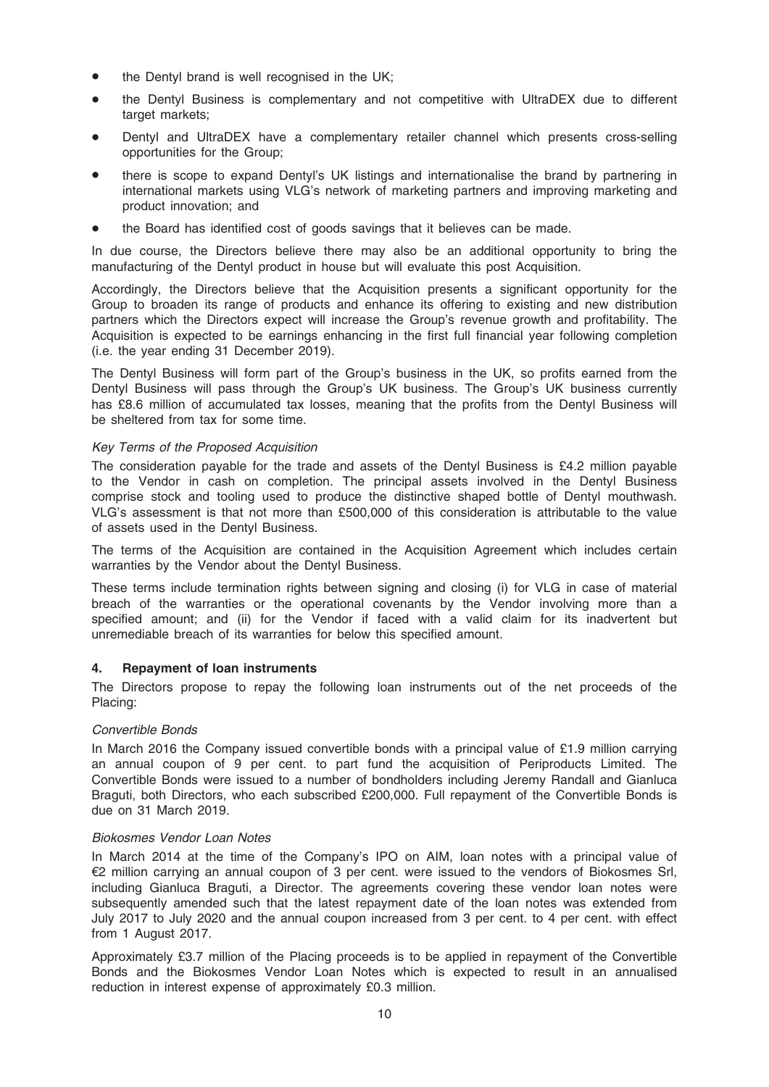- the Dentyl brand is well recognised in the UK;
- the Dentyl Business is complementary and not competitive with UltraDEX due to different target markets:
- Dentyl and UltraDEX have a complementary retailer channel which presents cross-selling opportunities for the Group;
- there is scope to expand Dentyl's UK listings and internationalise the brand by partnering in international markets using VLG's network of marketing partners and improving marketing and product innovation; and
- the Board has identified cost of goods savings that it believes can be made.

In due course, the Directors believe there may also be an additional opportunity to bring the manufacturing of the Dentyl product in house but will evaluate this post Acquisition.

Accordingly, the Directors believe that the Acquisition presents a significant opportunity for the Group to broaden its range of products and enhance its offering to existing and new distribution partners which the Directors expect will increase the Group's revenue growth and profitability. The Acquisition is expected to be earnings enhancing in the first full financial year following completion (i.e. the year ending 31 December 2019).

The Dentyl Business will form part of the Group's business in the UK, so profits earned from the Dentyl Business will pass through the Group's UK business. The Group's UK business currently has £8.6 million of accumulated tax losses, meaning that the profits from the Dentyl Business will be sheltered from tax for some time.

#### Key Terms of the Proposed Acquisition

The consideration payable for the trade and assets of the Dentyl Business is £4.2 million payable to the Vendor in cash on completion. The principal assets involved in the Dentyl Business comprise stock and tooling used to produce the distinctive shaped bottle of Dentyl mouthwash. VLG's assessment is that not more than £500,000 of this consideration is attributable to the value of assets used in the Dentyl Business.

The terms of the Acquisition are contained in the Acquisition Agreement which includes certain warranties by the Vendor about the Dentyl Business.

These terms include termination rights between signing and closing (i) for VLG in case of material breach of the warranties or the operational covenants by the Vendor involving more than a specified amount; and (ii) for the Vendor if faced with a valid claim for its inadvertent but unremediable breach of its warranties for below this specified amount.

#### 4. Repayment of loan instruments

The Directors propose to repay the following loan instruments out of the net proceeds of the Placing:

#### Convertible Bonds

In March 2016 the Company issued convertible bonds with a principal value of £1.9 million carrying an annual coupon of 9 per cent. to part fund the acquisition of Periproducts Limited. The Convertible Bonds were issued to a number of bondholders including Jeremy Randall and Gianluca Braguti, both Directors, who each subscribed £200,000. Full repayment of the Convertible Bonds is due on 31 March 2019.

#### Biokosmes Vendor Loan Notes

In March 2014 at the time of the Company's IPO on AIM, loan notes with a principal value of  $E2$  million carrying an annual coupon of 3 per cent. were issued to the vendors of Biokosmes Srl, including Gianluca Braguti, a Director. The agreements covering these vendor loan notes were subsequently amended such that the latest repayment date of the loan notes was extended from July 2017 to July 2020 and the annual coupon increased from 3 per cent. to 4 per cent. with effect from 1 August 2017.

Approximately £3.7 million of the Placing proceeds is to be applied in repayment of the Convertible Bonds and the Biokosmes Vendor Loan Notes which is expected to result in an annualised reduction in interest expense of approximately £0.3 million.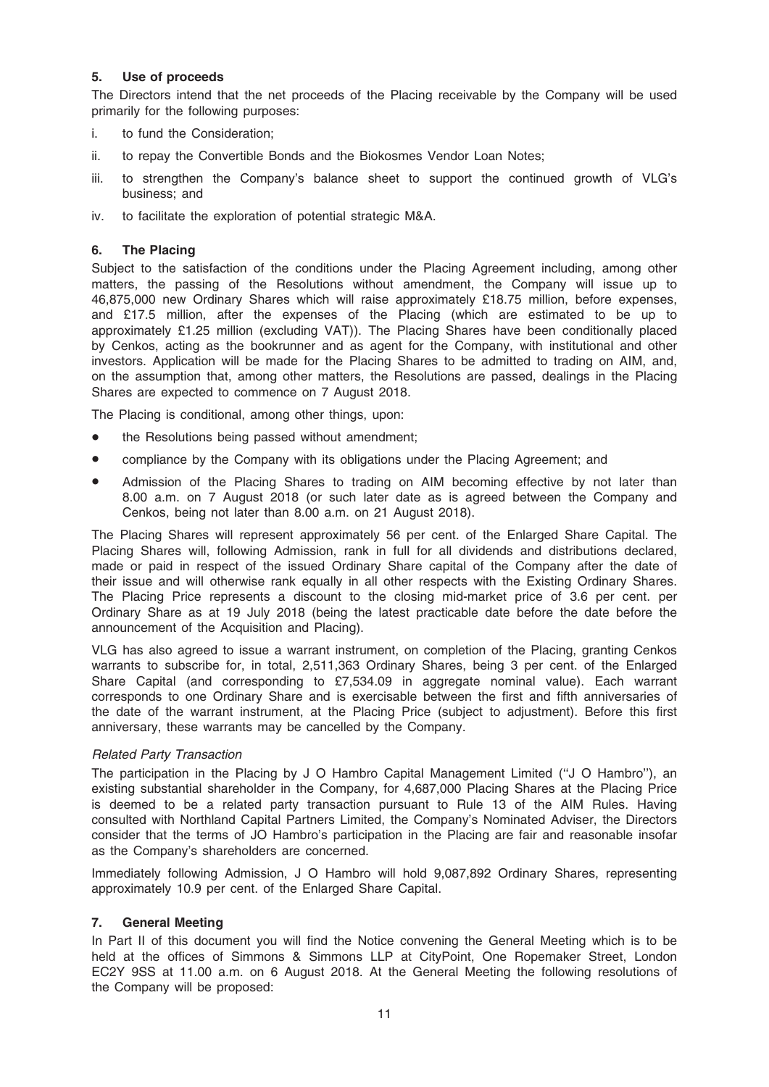#### 5. Use of proceeds

The Directors intend that the net proceeds of the Placing receivable by the Company will be used primarily for the following purposes:

- i. to fund the Consideration;
- ii. to repay the Convertible Bonds and the Biokosmes Vendor Loan Notes;
- iii. to strengthen the Company's balance sheet to support the continued growth of VLG's business; and
- iv. to facilitate the exploration of potential strategic M&A.

#### 6. The Placing

Subject to the satisfaction of the conditions under the Placing Agreement including, among other matters, the passing of the Resolutions without amendment, the Company will issue up to 46,875,000 new Ordinary Shares which will raise approximately £18.75 million, before expenses, and £17.5 million, after the expenses of the Placing (which are estimated to be up to approximately £1.25 million (excluding VAT)). The Placing Shares have been conditionally placed by Cenkos, acting as the bookrunner and as agent for the Company, with institutional and other investors. Application will be made for the Placing Shares to be admitted to trading on AIM, and, on the assumption that, among other matters, the Resolutions are passed, dealings in the Placing Shares are expected to commence on 7 August 2018.

The Placing is conditional, among other things, upon:

- the Resolutions being passed without amendment;
- compliance by the Company with its obligations under the Placing Agreement; and
- Admission of the Placing Shares to trading on AIM becoming effective by not later than 8.00 a.m. on 7 August 2018 (or such later date as is agreed between the Company and Cenkos, being not later than 8.00 a.m. on 21 August 2018).

The Placing Shares will represent approximately 56 per cent. of the Enlarged Share Capital. The Placing Shares will, following Admission, rank in full for all dividends and distributions declared, made or paid in respect of the issued Ordinary Share capital of the Company after the date of their issue and will otherwise rank equally in all other respects with the Existing Ordinary Shares. The Placing Price represents a discount to the closing mid-market price of 3.6 per cent. per Ordinary Share as at 19 July 2018 (being the latest practicable date before the date before the announcement of the Acquisition and Placing).

VLG has also agreed to issue a warrant instrument, on completion of the Placing, granting Cenkos warrants to subscribe for, in total, 2,511,363 Ordinary Shares, being 3 per cent. of the Enlarged Share Capital (and corresponding to £7,534.09 in aggregate nominal value). Each warrant corresponds to one Ordinary Share and is exercisable between the first and fifth anniversaries of the date of the warrant instrument, at the Placing Price (subject to adjustment). Before this first anniversary, these warrants may be cancelled by the Company.

#### Related Party Transaction

The participation in the Placing by J O Hambro Capital Management Limited (''J O Hambro''), an existing substantial shareholder in the Company, for 4,687,000 Placing Shares at the Placing Price is deemed to be a related party transaction pursuant to Rule 13 of the AIM Rules. Having consulted with Northland Capital Partners Limited, the Company's Nominated Adviser, the Directors consider that the terms of JO Hambro's participation in the Placing are fair and reasonable insofar as the Company's shareholders are concerned.

Immediately following Admission, J O Hambro will hold 9,087,892 Ordinary Shares, representing approximately 10.9 per cent. of the Enlarged Share Capital.

#### 7. General Meeting

In Part II of this document you will find the Notice convening the General Meeting which is to be held at the offices of Simmons & Simmons LLP at CityPoint, One Ropemaker Street, London EC2Y 9SS at 11.00 a.m. on 6 August 2018. At the General Meeting the following resolutions of the Company will be proposed: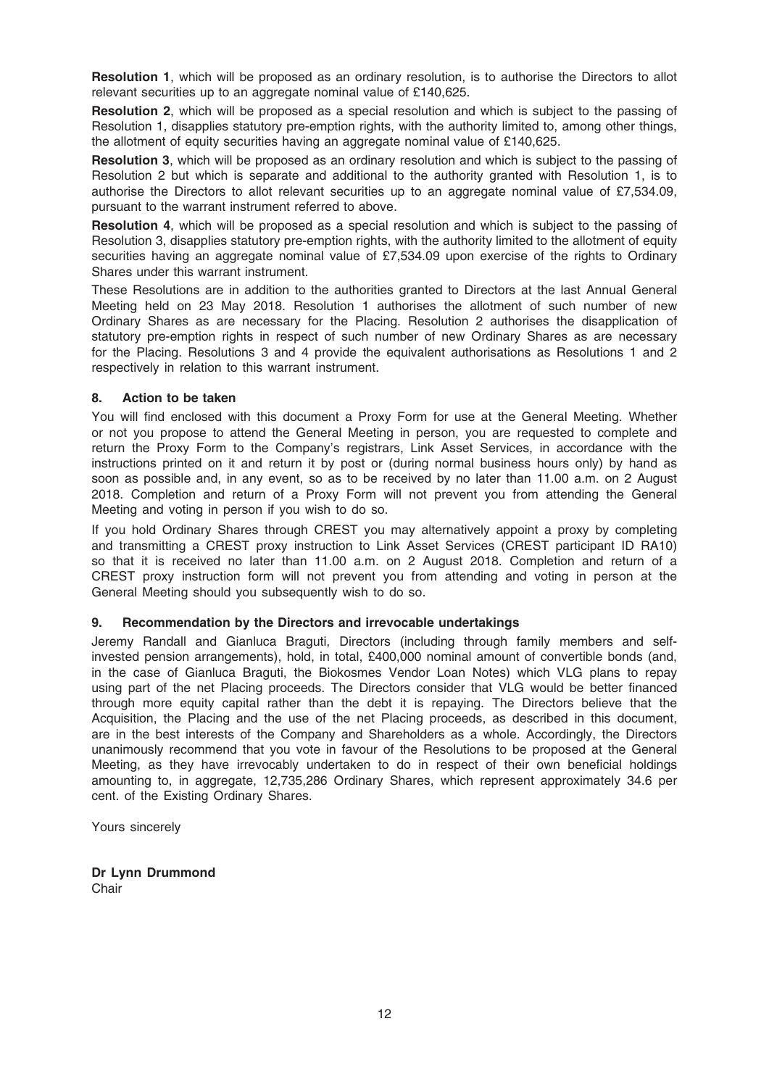Resolution 1, which will be proposed as an ordinary resolution, is to authorise the Directors to allot relevant securities up to an aggregate nominal value of £140,625.

Resolution 2, which will be proposed as a special resolution and which is subject to the passing of Resolution 1, disapplies statutory pre-emption rights, with the authority limited to, among other things, the allotment of equity securities having an aggregate nominal value of £140,625.

Resolution 3, which will be proposed as an ordinary resolution and which is subject to the passing of Resolution 2 but which is separate and additional to the authority granted with Resolution 1, is to authorise the Directors to allot relevant securities up to an aggregate nominal value of £7,534.09, pursuant to the warrant instrument referred to above.

Resolution 4, which will be proposed as a special resolution and which is subject to the passing of Resolution 3, disapplies statutory pre-emption rights, with the authority limited to the allotment of equity securities having an aggregate nominal value of £7,534.09 upon exercise of the rights to Ordinary Shares under this warrant instrument.

These Resolutions are in addition to the authorities granted to Directors at the last Annual General Meeting held on 23 May 2018. Resolution 1 authorises the allotment of such number of new Ordinary Shares as are necessary for the Placing. Resolution 2 authorises the disapplication of statutory pre-emption rights in respect of such number of new Ordinary Shares as are necessary for the Placing. Resolutions 3 and 4 provide the equivalent authorisations as Resolutions 1 and 2 respectively in relation to this warrant instrument.

#### 8. Action to be taken

You will find enclosed with this document a Proxy Form for use at the General Meeting. Whether or not you propose to attend the General Meeting in person, you are requested to complete and return the Proxy Form to the Company's registrars, Link Asset Services, in accordance with the instructions printed on it and return it by post or (during normal business hours only) by hand as soon as possible and, in any event, so as to be received by no later than 11.00 a.m. on 2 August 2018. Completion and return of a Proxy Form will not prevent you from attending the General Meeting and voting in person if you wish to do so.

If you hold Ordinary Shares through CREST you may alternatively appoint a proxy by completing and transmitting a CREST proxy instruction to Link Asset Services (CREST participant ID RA10) so that it is received no later than 11.00 a.m. on 2 August 2018. Completion and return of a CREST proxy instruction form will not prevent you from attending and voting in person at the General Meeting should you subsequently wish to do so.

#### 9. Recommendation by the Directors and irrevocable undertakings

Jeremy Randall and Gianluca Braguti, Directors (including through family members and selfinvested pension arrangements), hold, in total, £400,000 nominal amount of convertible bonds (and, in the case of Gianluca Braguti, the Biokosmes Vendor Loan Notes) which VLG plans to repay using part of the net Placing proceeds. The Directors consider that VLG would be better financed through more equity capital rather than the debt it is repaying. The Directors believe that the Acquisition, the Placing and the use of the net Placing proceeds, as described in this document, are in the best interests of the Company and Shareholders as a whole. Accordingly, the Directors unanimously recommend that you vote in favour of the Resolutions to be proposed at the General Meeting, as they have irrevocably undertaken to do in respect of their own beneficial holdings amounting to, in aggregate, 12,735,286 Ordinary Shares, which represent approximately 34.6 per cent. of the Existing Ordinary Shares.

Yours sincerely

Dr Lynn Drummond **Chair**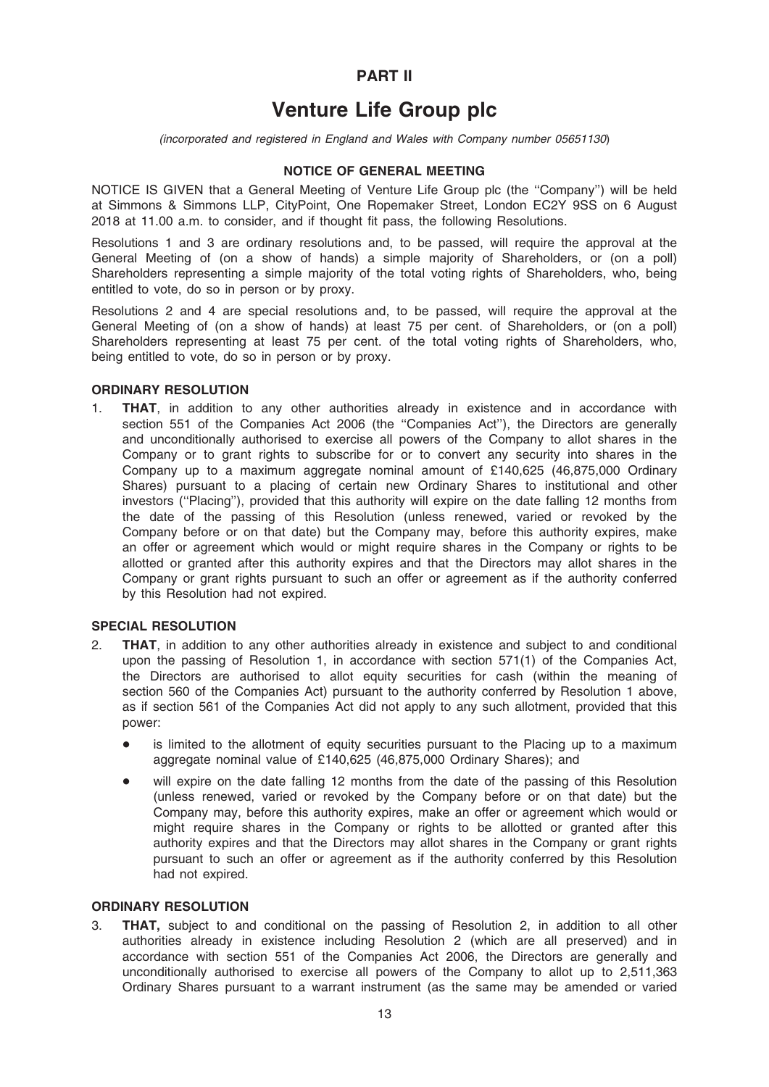### PART II

# Venture Life Group plc

(incorporated and registered in England and Wales with Company number 05651130)

### NOTICE OF GENERAL MEETING

NOTICE IS GIVEN that a General Meeting of Venture Life Group plc (the ''Company'') will be held at Simmons & Simmons LLP, CityPoint, One Ropemaker Street, London EC2Y 9SS on 6 August 2018 at 11.00 a.m. to consider, and if thought fit pass, the following Resolutions.

Resolutions 1 and 3 are ordinary resolutions and, to be passed, will require the approval at the General Meeting of (on a show of hands) a simple majority of Shareholders, or (on a poll) Shareholders representing a simple majority of the total voting rights of Shareholders, who, being entitled to vote, do so in person or by proxy.

Resolutions 2 and 4 are special resolutions and, to be passed, will require the approval at the General Meeting of (on a show of hands) at least 75 per cent. of Shareholders, or (on a poll) Shareholders representing at least 75 per cent. of the total voting rights of Shareholders, who, being entitled to vote, do so in person or by proxy.

#### ORDINARY RESOLUTION

1. THAT, in addition to any other authorities already in existence and in accordance with section 551 of the Companies Act 2006 (the ''Companies Act''), the Directors are generally and unconditionally authorised to exercise all powers of the Company to allot shares in the Company or to grant rights to subscribe for or to convert any security into shares in the Company up to a maximum aggregate nominal amount of £140,625 (46,875,000 Ordinary Shares) pursuant to a placing of certain new Ordinary Shares to institutional and other investors (''Placing''), provided that this authority will expire on the date falling 12 months from the date of the passing of this Resolution (unless renewed, varied or revoked by the Company before or on that date) but the Company may, before this authority expires, make an offer or agreement which would or might require shares in the Company or rights to be allotted or granted after this authority expires and that the Directors may allot shares in the Company or grant rights pursuant to such an offer or agreement as if the authority conferred by this Resolution had not expired.

#### SPECIAL RESOLUTION

- 2. THAT, in addition to any other authorities already in existence and subject to and conditional upon the passing of Resolution 1, in accordance with section 571(1) of the Companies Act, the Directors are authorised to allot equity securities for cash (within the meaning of section 560 of the Companies Act) pursuant to the authority conferred by Resolution 1 above, as if section 561 of the Companies Act did not apply to any such allotment, provided that this power:
	- is limited to the allotment of equity securities pursuant to the Placing up to a maximum aggregate nominal value of £140,625 (46,875,000 Ordinary Shares); and
	- will expire on the date falling 12 months from the date of the passing of this Resolution (unless renewed, varied or revoked by the Company before or on that date) but the Company may, before this authority expires, make an offer or agreement which would or might require shares in the Company or rights to be allotted or granted after this authority expires and that the Directors may allot shares in the Company or grant rights pursuant to such an offer or agreement as if the authority conferred by this Resolution had not expired.

#### ORDINARY RESOLUTION

3. THAT, subject to and conditional on the passing of Resolution 2, in addition to all other authorities already in existence including Resolution 2 (which are all preserved) and in accordance with section 551 of the Companies Act 2006, the Directors are generally and unconditionally authorised to exercise all powers of the Company to allot up to 2,511,363 Ordinary Shares pursuant to a warrant instrument (as the same may be amended or varied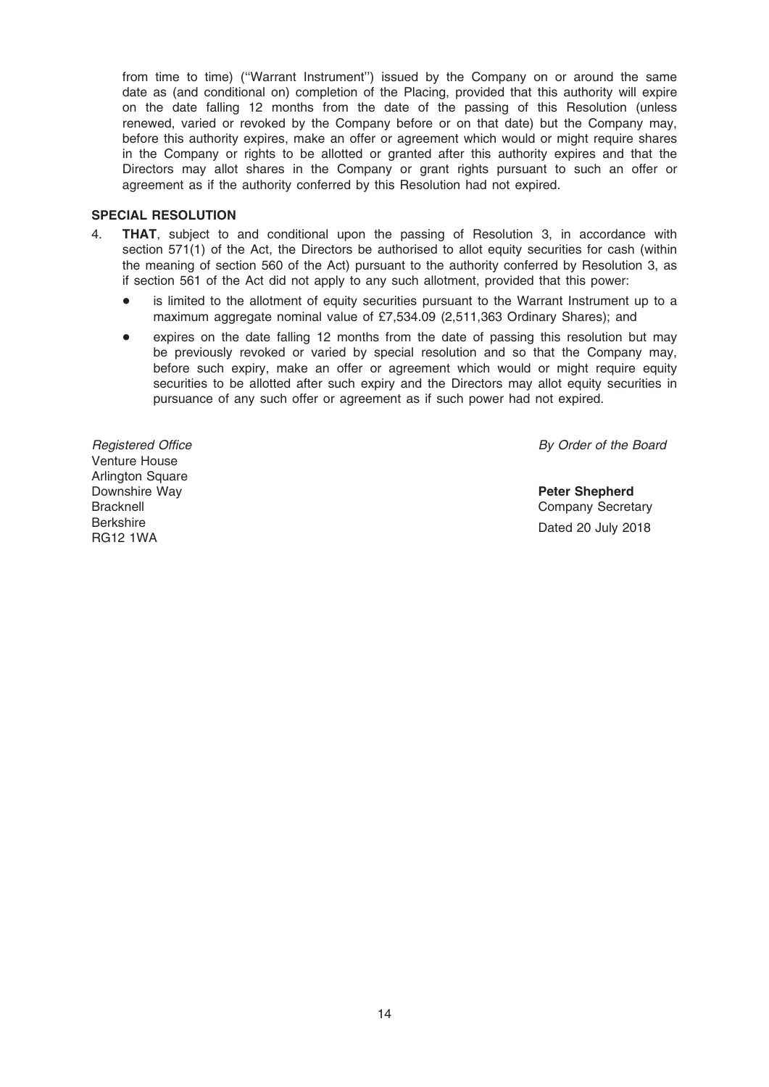from time to time) (''Warrant Instrument'') issued by the Company on or around the same date as (and conditional on) completion of the Placing, provided that this authority will expire on the date falling 12 months from the date of the passing of this Resolution (unless renewed, varied or revoked by the Company before or on that date) but the Company may, before this authority expires, make an offer or agreement which would or might require shares in the Company or rights to be allotted or granted after this authority expires and that the Directors may allot shares in the Company or grant rights pursuant to such an offer or agreement as if the authority conferred by this Resolution had not expired.

#### SPECIAL RESOLUTION

- 4. THAT, subject to and conditional upon the passing of Resolution 3, in accordance with section 571(1) of the Act, the Directors be authorised to allot equity securities for cash (within the meaning of section 560 of the Act) pursuant to the authority conferred by Resolution 3, as if section 561 of the Act did not apply to any such allotment, provided that this power:
	- is limited to the allotment of equity securities pursuant to the Warrant Instrument up to a maximum aggregate nominal value of £7,534.09 (2,511,363 Ordinary Shares); and
	- expires on the date falling 12 months from the date of passing this resolution but may be previously revoked or varied by special resolution and so that the Company may, before such expiry, make an offer or agreement which would or might require equity securities to be allotted after such expiry and the Directors may allot equity securities in pursuance of any such offer or agreement as if such power had not expired.

Registered Office Venture House Arlington Square Downshire Way **Bracknell** Berkshire RG12 1WA

By Order of the Board

Peter Shepherd Company Secretary Dated 20 July 2018